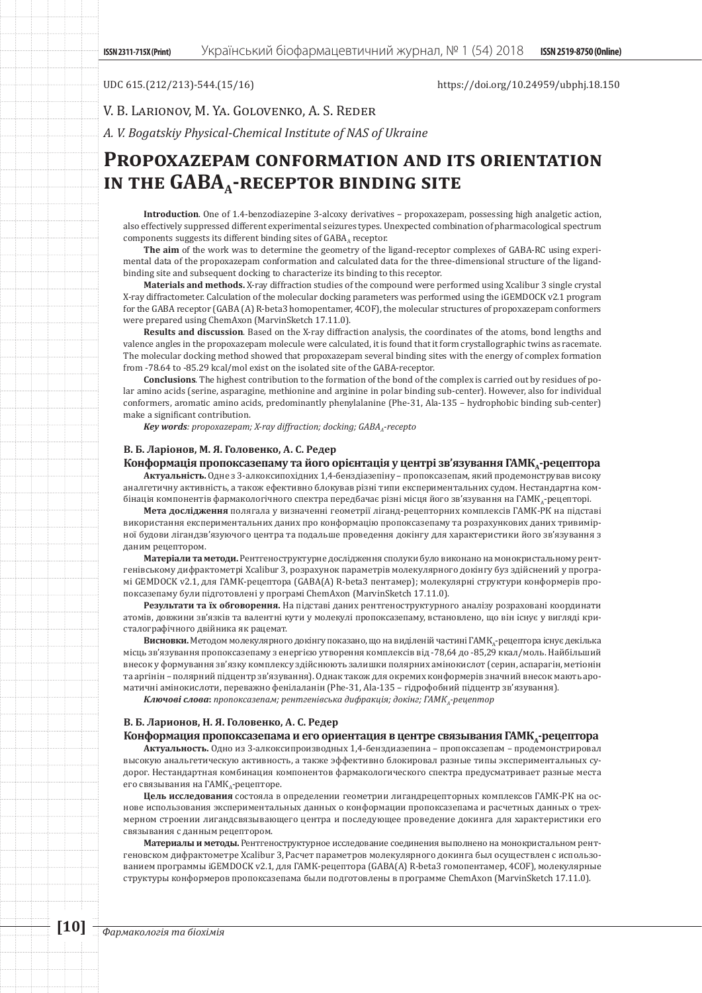## UDC 615.(212/213)-544.(15/16) https://doi.org/10.24959/ubphj.18.150

V. B. Larionov, M. Ya. Golovenko, A. S. Reder

*A. V. Bogatskiy Physical-Chemical Institute of NAS of Ukraine*

# **Propoxazepam conformation and its orientation**  IN THE GABA<sub>A</sub>-RECEPTOR BINDING SITE

**Introduction**. One of 1.4-benzodiazepine 3-alcoxy derivatives – propoxazepam, possessing high analgetic action, also effectively suppressed different experimental seizures types. Unexpected combination of pharmacological spectrum components suggests its different binding sites of GABA, receptor.

**The aim** of the work was to determine the geometry of the ligand-receptor complexes of GABA-RC using experimental data of the propoxazepam conformation and calculated data for the three-dimensional structure of the ligandbinding site and subsequent docking to characterize its binding to this receptor.

**Materials and methods.** X-ray diffraction studies of the compound were performed using Xcalibur 3 single crystal X-ray diffractometer. Calculation of the molecular docking parameters was performed using the iGEMDOCK v2.1 program for the GABA receptor (GABA (A) R-beta3 homopentamer, 4COF), the molecular structures of propoxazepam conformers were prepared using ChemAxon (MarvinSketch 17.11.0).

**Results and discussion**. Based on the X-ray diffraction analysis, the coordinates of the atoms, bond lengths and valence angles in the propoxazepam molecule were calculated, it is found that it form crystallographic twins as racemate. The molecular docking method showed that propoxazepam several binding sites with the energy of complex formation from -78.64 to -85.29 kcal/mol exist on the isolated site of the GABA-receptor.

**Conclusions**. The highest contribution to the formation of the bond of the complex is carried out by residues of polar amino acids (serine, asparagine, methionine and arginine in polar binding sub-center). However, also for individual conformers, aromatic amino acids, predominantly phenylalanine (Phe-31, Ala-135 – hydrophobic binding sub-center) make a significant contribution.

Key words: propoxazepam; X-ray diffraction; docking; GABA<sub>A</sub>-recepto

### **В. Б. Ларіонов, М. Я. Головенко, А. С. Редер**

## Конформація пропоксазепаму та його орієнтація у центрі зв'язування ГАМК,-рецептора

**Актуальність.** Одне з 3-алкоксипохідних 1,4-бенздіазепіну – пропоксазепам, який продемонстрував високу аналгетичну активність, а також ефективно блокував різні типи експериментальних судом. Нестандартна комбінація компонентів фармакологічного спектра передбачає різні місця його зв'язування на ГАМК<sub>А</sub>-рецепторі.

**Мета дослідження** полягала у визначенні геометрії ліганд-рецепторних комплексів ГАМК-РК на підставі використання експериментальних даних про конформацію пропоксазепаму та розрахункових даних тривимірної будови лігандзв'язуючого центра та подальше проведення докінгу для характеристики його зв'язування з даним рецептором.

**Матеріали та методи.** Рентгеноструктурне дослідження сполуки було виконано на монокристальному рентгенівському дифрактометрі Xcalibur 3, розрахунок параметрів молекулярного докінгу буз здійснений у програмі GEMDOCK v2.1, для ГАМК-рецептора (GABA(A) R-beta3 пентамер); молекулярні структури конформерів пропоксазепаму були підготовлені у програмі ChemAxon (MarvinSketch 17.11.0).

**Результати та їх обговорення.** На підставі даних рентгеноструктурного аналізу розраховані координати атомів, довжини зв'язків та валентні кути у молекулі пропоксазепаму, встановлено, що він існує у вигляді кристалографічного двійника як рацемат.

Висновки. Методом молекулярного докінгу показано, що на виділеній частині ГАМК<sub>А</sub>-рецептора існує декілька місць зв'язування пропоксазепаму з енергією утворення комплексів від -78,64 до -85,29 ккал/моль. Найбільший внесок у формування зв'язку комплексу здійснюють залишки полярних амінокислот (серин, аспарагін, метіонін та аргінін – полярний підцентр зв'язування). Однак також для окремих конформерів значний внесок мають ароматичні амінокислоти, переважно фенілаланін (Phe-31, Ala-135 – гідрофобний підцентр зв'язування).

*Ключові слова***:** *пропоксазепам; рентгенівська дифракція; докінг; ГАМКА-рецептор*

## **В. Б. Ларионов, Н. Я. Головенко, А. С. Редер**

## Конформация пропоксазепама и его ориентация в центре связывания ГАМК<sub>а</sub>-рецептора

**Актуальность.** Одно из 3-алкоксипроизводных 1,4-бенздиазепина – пропоксазепам – продемонстрировал высокую анальгетическую активность, а также эффективно блокировал разные типы экспериментальных судорог. Нестандартная комбинация компонентов фармакологического спектра предусматривает разные места его связывания на ГАМК,-рецепторе.

**Цель исследования** состояла в определении геометрии лигандрецепторных комплексов ГАМК-РК на основе использования экспериментальных данных о конформации пропоксазепама и расчетных данных о трехмерном строении лигандсвязывающего центра и последующее проведение докинга для характеристики его связывания с данным рецептором.

**Материалы и методы.** Рентгеноструктурное исследование соединения выполнено на монокристальном рентгеновском дифрактометре Xcalibur 3, Расчет параметров молекулярного докинга был осуществлен с использованием программы iGEMDOCK v2.1, для ГАМК-рецептора (GABA(A) R-beta3 гомопентамер, 4COF), молекулярные структуры конформеров пропоксазепама были подготовлены в программе ChemAxon (MarvinSketch 17.11.0).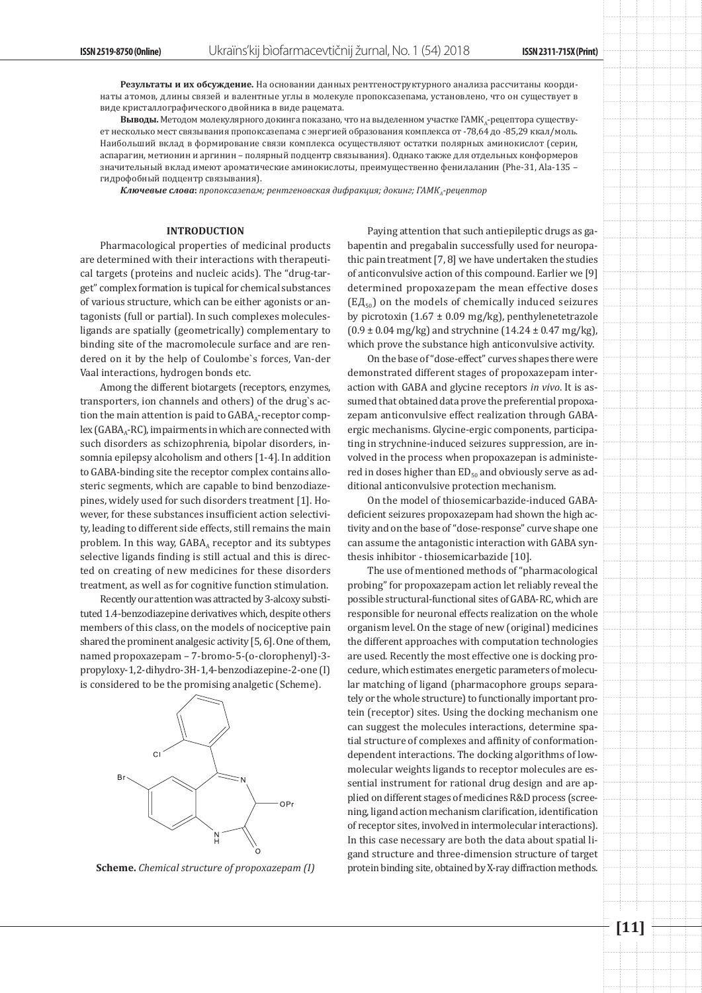**Результаты и их обсуждение.** На основании данных рентгеноструктурного анализа рассчитаны координаты атомов, длины связей и валентные углы в молекуле пропоксазепама, установлено, что он существует в виде кристаллографического двойника в виде рацемата.

**Выводы.** Методом молекулярного докинга показано, что на выделенном участке ГАМКА-рецептора существует несколько мест связывания пропоксазепама с энергией образования комплекса от -78,64 до -85,29 ккал/моль. Наибольший вклад в формирование связи комплекса осуществляют остатки полярных аминокислот (серин, аспарагин, метионин и аргинин – полярный подцентр связывания). Однако также для отдельных конформеров значительный вклад имеют ароматические аминокислоты, преимущественно фенилаланин (Phe-31, Ala-135 – гидрофобный подцентр связывания).

*Ключевые слова***:** *пропоксазепам; рентгеновская дифракция; докинг; ГАМКА-рецептор*

### **INTRODUCTION**

Pharmacological properties of medicinal products are determined with their interactions with therapeutical targets (proteins and nucleic acids). The "drug-target" complex formation is tupical for chemical substances of various structure, which can be either agonists or antagonists (full or partial). In such complexes moleculesligands are spatially (geometrically) complementary to binding site of the macromolecule surface and are rendered on it by the help of Coulombe`s forces, Van-der Vaal interactions, hydrogen bonds etc.

Among the different biotargets (receptors, enzymes, transporters, ion channels and others) of the drug`s action the main attention is paid to  $GABA_A$ -receptor comp $lex(GABA_A-RC)$ , impairments in which are connected with such disorders as schizophrenia, bipolar disorders, insomnia epilepsy alcoholism and others [1-4]. In addition to GABA-binding site the receptor complex contains allosteric segments, which are capable to bind benzodiazepines, widely used for such disorders treatment [1]. However, for these substances insufficient action selectivity, leading to different side effects, still remains the main problem. In this way,  $GABA_A$  receptor and its subtypes selective ligands finding is still actual and this is directed on creating of new medicines for these disorders treatment, as well as for cognitive function stimulation.

Recently our attention was attracted by 3-alcoxy substituted 1.4-benzodiazepine derivatives which, despite others members of this class, on the models of nociceptive pain shared the prominent analgesic activity [5, 6]. One of them, named propoxazepam – 7-bromo-5-(о-clorophenyl)-3 propyloxy-1,2-dihydro-3Н-1,4-benzodiazepine-2-one (I) is considered to be the promising analgetic (Scheme).



Paying attention that such antiepileptic drugs as gabapentin and pregabalin successfully used for neuropathic pain treatment [7, 8] we have undertaken the studies of anticonvulsive action of this compound. Earlier we [9] determined propoxazepam the mean effective doses  $(E|A_{50})$  on the models of chemically induced seizures by picrotoxin  $(1.67 \pm 0.09 \text{ mg/kg})$ , penthylenetetrazole  $(0.9 \pm 0.04 \text{ mg/kg})$  and strychnine  $(14.24 \pm 0.47 \text{ mg/kg})$ , which prove the substance high anticonvulsive activity.

On the base of "dose-effect" curves shapes there were demonstrated different stages of propoxazepam interaction with GABA and glycine receptors *in vivo*. It is assumed that obtained data prove the preferential propoxazepam anticonvulsive effect realization through GABAergic mechanisms. Glycine-ergic components, participating in strychnine-induced seizures suppression, are involved in the process when propoxazepan is administered in doses higher than  $ED_{50}$  and obviously serve as additional anticonvulsive protection mechanism.

On the model of thiosemicarbazide-induced GABAdeficient seizures propoxazepam had shown the high activity and on the base of "dose-response" curve shape one can assume the antagonistic interaction with GABA synthesis inhibitor - thiosemicarbazide [10].

The use of mentioned methods of "pharmacological probing" for propoxazepam action let reliably reveal the possible structural-functional sites of GABA-RC, which are responsible for neuronal effects realization on the whole organism level. On the stage of new (original) medicines the different approaches with computation technologies are used. Recently the most effective one is docking procedure, which estimates energetic parameters of molecular matching of ligand (pharmacophore groups separately or the whole structure) to functionally important protein (receptor) sites. Using the docking mechanism one can suggest the molecules interactions, determine spatial structure of complexes and affinity of conformationdependent interactions. The docking algorithms of lowmolecular weights ligands to receptor molecules are essential instrument for rational drug design and are applied on different stages of medicines R&D process (screening, ligand action mechanism clarification, identification of receptor sites, involved in intermolecular interactions). In this case necessary are both the data about spatial ligand structure and three-dimension structure of target **Scheme.** *Chemical structure of propoxazepam (I)* protein binding site, obtained by X-ray diffraction methods.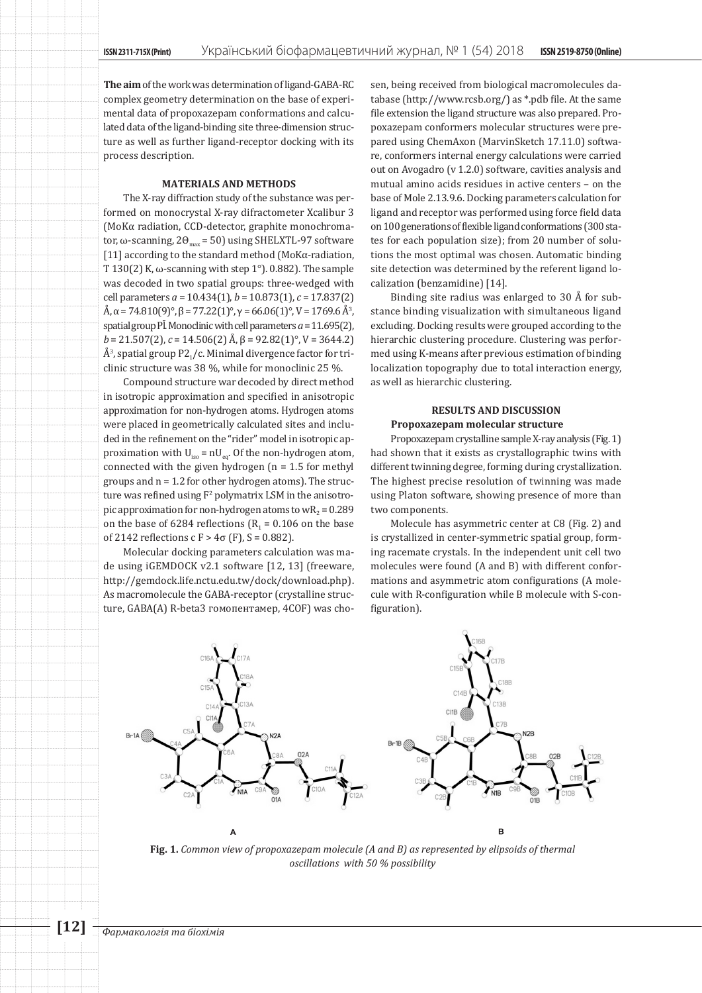**The aim** of the work was determination of ligand-GABA-RC complex geometry determination on the base of experimental data of propoxazepam conformations and calculated data of the ligand-binding site three-dimension structure as well as further ligand-receptor docking with its process description.

## **MATERIALS AND METHODS**

The X-ray diffraction study of the substance was performed on monocrystal X-ray difractometer Xcalibur 3 (MoKα radiation, ССD-detector, graphite monochromator, ω-scanning,  $2\Theta_{\text{max}}$  = 50) using SHELXTL-97 software [11] according to the standard method (МоKα-radiation, T 130(2) K,  $\omega$ -scanning with step 1°). 0.882). The sample was decoded in two spatial groups: three-wedged with cell parameters *a* = 10.434(1), *b* = 10.873(1), *c* = 17.837(2)  $A, \alpha$  = 74.810(9)°,  $\beta$  = 77.22(1)°,  $\gamma$  = 66.06(1)°, V = 1769.6 A<sup>3</sup>, spatial group Pl. Monoclinic with cell parameters  $a = 11.695(2)$ , *b* = 21.507(2), *c* = 14.506(2) Å, β = 92.82(1)°, V = 3644.2)  $A<sup>3</sup>$ , spatial group P2 $_1$ /c. Minimal divergence factor for triclinic structure was 38 %, while for monoclinic 25 %.

Compound structure war decoded by direct method in isotropic approximation and specified in anisotropic approximation for non-hydrogen atoms. Hydrogen atoms were placed in geometrically calculated sites and included in the refinement on the "rider" model in isotropic approximation with  $U_{iso} = nU_{eq}$ . Of the non-hydrogen atom, connected with the given hydrogen ( $n = 1.5$  for methyl groups and n = 1.2 for other hydrogen atoms). The structure was refined using  $F^2$  polymatrix LSM in the anisotropic approximation for non-hydrogen atoms to  $wR_2 = 0.289$ on the base of 6284 reflections  $(R_1 = 0.106$  on the base of 2142 reflections с F > 4σ (F), S = 0.882).

Molecular docking parameters calculation was made using iGEMDOCK v2.1 software [12, 13] (freeware, http://gemdock.life.nctu.edu.tw/dock/download.php). As macromolecule the GABA-receptor (crystalline structure, GABA(A) R-beta3 гомопентамер, 4COF) was chosen, being received from biological macromolecules database (http://www.rcsb.org/) as \*.pdb file. At the same file extension the ligand structure was also prepared. Propoxazepam conformers molecular structures were prepared using ChemAxon (MarvinSketch 17.11.0) software, conformers internal energy calculations were carried out on Avogadro (v 1.2.0) software, cavities analysis and mutual amino acids residues in active centers – on the base of Mole 2.13.9.6. Docking parameters calculation for ligand and receptor was performed using force field data on 100 generations of flexible ligand conformations (300 states for each population size); from 20 number of solutions the most optimal was chosen. Automatic binding site detection was determined by the referent ligand localization (benzamidine) [14].

Binding site radius was enlarged to 30 Å for substance binding visualization with simultaneous ligand excluding. Docking results were grouped according to the hierarchic clustering procedure. Clustering was performed using K-means after previous estimation of binding localization topography due to total interaction energy, as well as hierarchic clustering.

## **RESULTS AND DISCUSSION Propoxazepam molecular structure**

Propoxazepam crystalline sample X-ray analysis (Fig. 1) had shown that it exists as crystallographic twins with different twinning degree, forming during crystallization. The highest precise resolution of twinning was made using Platon software, showing presence of more than two components.

Molecule has asymmetric center at C8 (Fig. 2) and is crystallized in center-symmetric spatial group, forming racemate crystals. In the independent unit cell two molecules were found (A and B) with different conformations and asymmetric atom configurations (A molecule with R-configuration while B molecule with S-configuration).



**Fig. 1.** *Common view of propoxazepam molecule (А and B) as represented by elipsoids of thermal oscillations with 50 % possibility*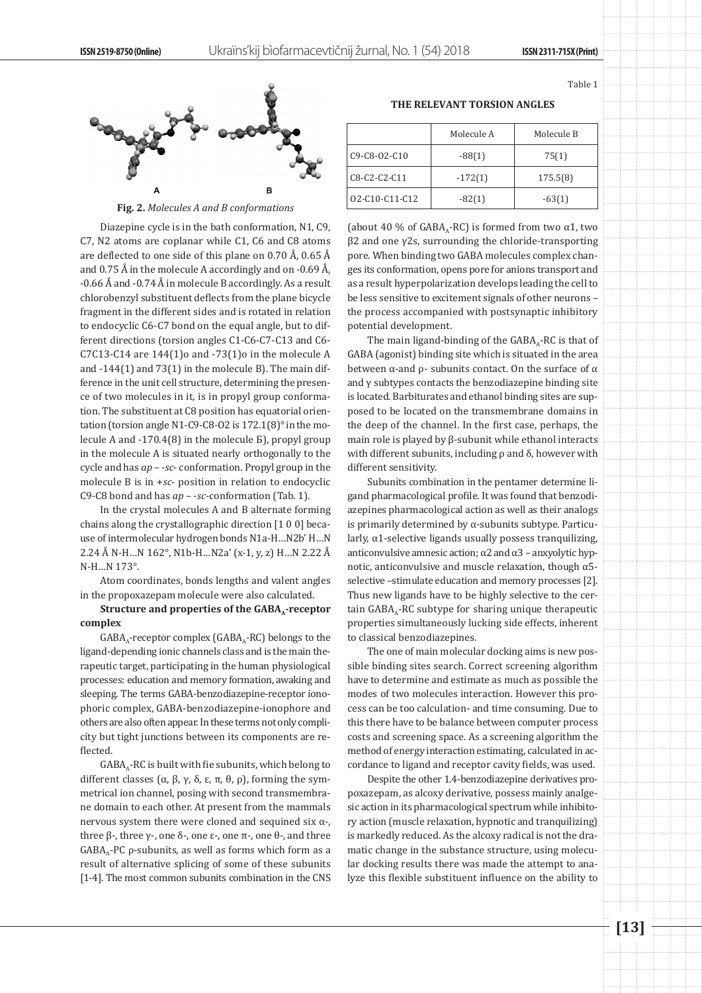Table 1



Fig. 2. Molecules A and B conformations

Diazepine cycle is in the bath conformation, N1, C9, C7, N2 atoms are coplanar while С1, С6 and С8 atoms are deflected to one side of this plane on 0.70 Å, 0.65 Å and 0.75 Å in the molecule A accordingly and on -0.69 Å, -0.66 Å and -0.74 Å in molecule B accordingly. As a result chlorobenzyl substituent deflects from the plane bicycle fragment in the different sides and is rotated in relation to endocyclic C6-C7 bond on the equal angle, but to different directions (torsion angles C1-C6-C7-C13 and C6- C7C13-C14 are  $144(1)$ o and  $-73(1)$ o in the molecule A and -144(1) and 73(1) in the molecule B). The main difference in the unit cell structure, determining the presence of two molecules in it, is in propyl group conformation. The substituent at C8 position has equatorial orientation (torsion angle N1-C9-C8-O2 is 172.1(8)° in the molecule А and -170.4(8) in the molecule Б), propyl group in the molecule A is situated nearly orthogonally to the cycle and has *ар* – -*sc*- conformation. Propyl group in the molecule В is in +*sc*- position in relation to endocyclic С9-С8 bond and has *ар* – -*sc*-conformation (Tab. 1).

In the crystal molecules A and B alternate forming chains along the crystallographic direction [1 0 0] because of intermolecular hydrogen bonds N1a-H…N2b' H…N 2.24 Å N-H…N 162°, N1b-H…N2a' (x-1, y, z) H…N 2.22 Å N-H…N 173°.

Atom coordinates, bonds lengths and valent angles in the propoxazepam molecule were also calculated.

Structure and properties of the GABA<sub>A</sub>-receptor **complex**

 $GABA_A$ -receptor complex ( $GABA_A$ -RC) belongs to the ligand-depending ionic channels class and is the main therapeutic target, participating in the human physiological processes: education and memory formation, awaking and sleeping. The terms GABA-benzodiazepine-receptor ionophoric complex, GABA-benzodiazepine-ionophore and others are also often appear. In these terms not only complicity but tight junctions between its components are reflected.

 $GABA_A-RC$  is built with fie subunits, which belong to different classes (α, β, γ, δ, ε, π, θ, ρ), forming the symmetrical ion channel, posing with second transmembrane domain to each other. At present from the mammals nervous system there were cloned and sequined six α-, three β-, three  $γ$ -, one δ-, one ε-, one π-, one  $θ$ -, and three  $GABA_A-PC$  ρ-subunits, as well as forms which form as a result of alternative splicing of some of these subunits [1-4]. The most common subunits combination in the CNS

|                      | Molecule A | Molecule B |
|----------------------|------------|------------|
| $C9 - C8 - 02 - C10$ | $-88(1)$   | 75(1)      |
| C8-C2-C2-C11         | $-172(1)$  | 175.5(8)   |
| 02-C10-C11-C12       | $-82(1)$   | $-63(1)$   |

(about 40 % of GABA<sub>A</sub>-RC) is formed from two  $\alpha$ 1, two β2 and one γ2s, surrounding the chloride-transporting pore. When binding two GABA molecules complex changes its conformation, opens pore for anions transport and as a result hyperpolarization develops leading the cell to be less sensitive to excitement signals of other neurons – the process accompanied with postsynaptic inhibitory potential development.

The main ligand-binding of the  $GABA_A-RC$  is that of GABA (agonist) binding site which is situated in the area between  $\alpha$ -and  $\rho$ - subunits contact. On the surface of  $\alpha$ and  $\gamma$  subtypes contacts the benzodiazepine binding site is located. Barbiturates and ethanol binding sites are supposed to be located on the transmembrane domains in the deep of the channel. In the first case, perhaps, the main role is played by β-subunit while ethanol interacts with different subunits, including  $\rho$  and  $\delta$ , however with different sensitivity.

Subunits combination in the pentamer determine ligand pharmacological profile. It was found that benzodiazepines pharmacological action as well as their analogs is primarily determined by  $\alpha$ -subunits subtype. Particularly, α1-selective ligands usually possess tranquilizing, anticonvulsive amnesic action; α2 and α3 – anxyolytic hypnotic, anticonvulsive and muscle relaxation, though α5 selective –stimulate education and memory processes [2]. Thus new ligands have to be highly selective to the certain  $GABA_A-RC$  subtype for sharing unique therapeutic properties simultaneously lucking side effects, inherent to classical benzodiazepines.

The one of main molecular docking aims is new possible binding sites search. Correct screening algorithm have to determine and estimate as much as possible the modes of two molecules interaction. However this process can be too calculation- and time consuming. Due to this there have to be balance between computer process costs and screening space. As a screening algorithm the method of energy interaction estimating, calculated in accordance to ligand and receptor cavity fields, was used.

Despite the other 1.4-benzodiazepine derivatives propoxazepam, as alcoxy derivative, possess mainly analgesic action in its pharmacological spectrum while inhibitory action (muscle relaxation, hypnotic and tranquilizing) is markedly reduced. As the alcoxy radical is not the dramatic change in the substance structure, using molecular docking results there was made the attempt to analyze this flexible substituent influence on the ability to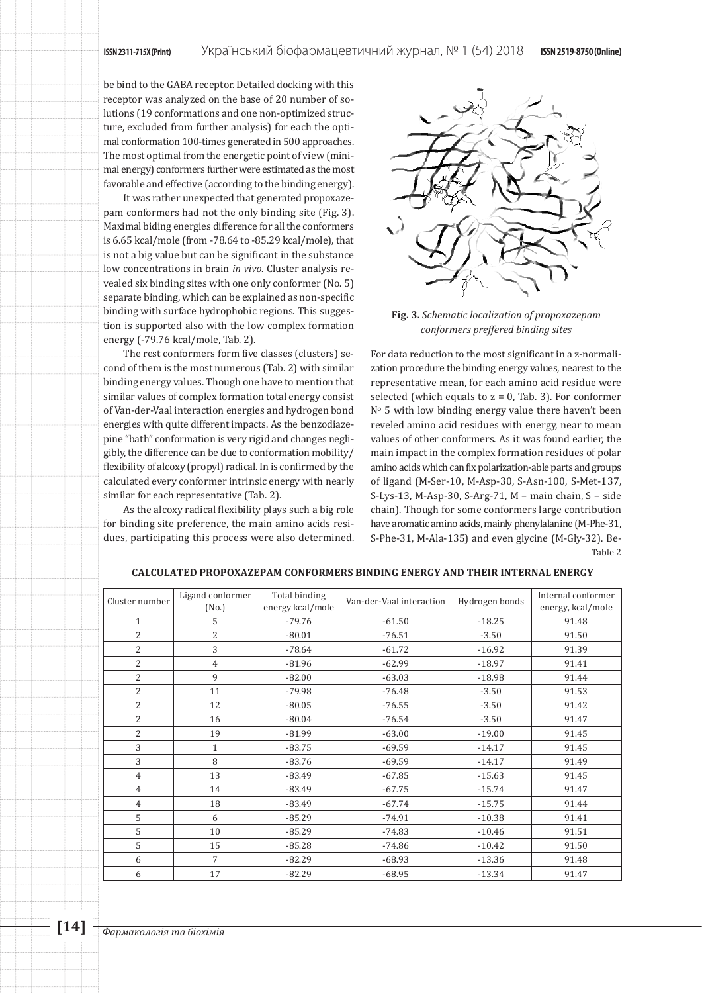be bind to the GABA receptor. Detailed docking with this receptor was analyzed on the base of 20 number of solutions (19 conformations and one non-optimized structure, excluded from further analysis) for each the optimal conformation 100-times generated in 500 approaches. The most optimal from the energetic point of view (minimal energy) conformers further were estimated as the most favorable and effective (according to the binding energy).

It was rather unexpected that generated propoxazepam conformers had not the only binding site (Fig. 3). Maximal biding energies difference for all the conformers is 6.65 kcal/mole (from -78.64 to -85.29 kcal/mole), that is not a big value but can be significant in the substance low concentrations in brain *in vivo*. Cluster analysis revealed six binding sites with one only conformer (No. 5) separate binding, which can be explained as non-specific binding with surface hydrophobic regions. This suggestion is supported also with the low complex formation energy (-79.76 kcal/mole, Tab. 2).

The rest conformers form five classes (clusters) second of them is the most numerous (Tab. 2) with similar binding energy values. Though one have to mention that similar values of complex formation total energy consist of Van-der-Vaal interaction energies and hydrogen bond energies with quite different impacts. As the benzodiazepine "bath" conformation is very rigid and changes negligibly, the difference can be due to conformation mobility/ flexibility of alcoxy (propyl) radical. In is confirmed by the calculated every conformer intrinsic energy with nearly similar for each representative (Tab. 2).

As the alcoxy radical flexibility plays such a big role for binding site preference, the main amino acids residues, participating this process were also determined.



**Fig. 3.** *Schematic localization of propoxazepam conformers preffered binding sites*

For data reduction to the most significant in a z-normalization procedure the binding energy values, nearest to the representative mean, for each amino acid residue were selected (which equals to  $z = 0$ , Tab. 3). For conformer № 5 with low binding energy value there haven't been reveled amino acid residues with energy, near to mean values of other conformers. As it was found earlier, the main impact in the complex formation residues of polar amino acids which can fix polarization-able parts and groups of ligand (M-Ser-10, M-Asp-30, S-Asn-100, S-Met-137, S-Lys-13, M-Asp-30, S-Arg-71, M – main chain, S – side chain). Though for some conformers large contribution have aromatic amino acids, mainly phenylalanine (M-Phe-31, S-Phe-31, M-Ala-135) and even glycine (M-Gly-32). Be-Table 2

| Cluster number | Ligand conformer<br>(No.) | Total binding<br>energy kcal/mole | Van-der-Vaal interaction | Hydrogen bonds | Internal conformer<br>energy, kcal/mole |
|----------------|---------------------------|-----------------------------------|--------------------------|----------------|-----------------------------------------|
| $\mathbf{1}$   | 5                         | $-79.76$                          | $-61.50$                 | $-18.25$       | 91.48                                   |
| $\overline{2}$ | $\overline{2}$            | $-80.01$                          | $-76.51$                 | $-3.50$        | 91.50                                   |
| $\overline{2}$ | 3                         | $-78.64$                          | $-61.72$                 | $-16.92$       | 91.39                                   |
| $\overline{2}$ | $\overline{4}$            | $-81.96$                          | $-62.99$                 | $-18.97$       | 91.41                                   |
| 2              | 9                         | $-82.00$                          | $-63.03$                 | $-18.98$       | 91.44                                   |
| $\overline{2}$ | 11                        | $-79.98$                          | $-76.48$                 | $-3.50$        | 91.53                                   |
| $\overline{2}$ | 12                        | $-80.05$                          | $-76.55$                 | $-3.50$        | 91.42                                   |
| 2              | 16                        | $-80.04$                          | $-76.54$                 | $-3.50$        | 91.47                                   |
| $\overline{2}$ | 19                        | $-81.99$                          | $-63.00$                 | $-19.00$       | 91.45                                   |
| 3              | $\mathbf{1}$              | $-83.75$                          | $-69.59$                 | $-14.17$       | 91.45                                   |
| 3              | 8                         | $-83.76$                          | $-69.59$                 | $-14.17$       | 91.49                                   |
| $\overline{4}$ | 13                        | $-83.49$                          | $-67.85$                 | $-15.63$       | 91.45                                   |
| $\overline{4}$ | 14                        | $-83.49$                          | $-67.75$                 | $-15.74$       | 91.47                                   |
| $\overline{4}$ | 18                        | $-83.49$                          | $-67.74$                 | $-15.75$       | 91.44                                   |
| 5              | 6                         | $-85.29$                          | $-74.91$                 | $-10.38$       | 91.41                                   |
| 5              | 10                        | $-85.29$                          | $-74.83$                 | $-10.46$       | 91.51                                   |
| 5              | 15                        | $-85.28$                          | $-74.86$                 | $-10.42$       | 91.50                                   |
| 6              | 7                         | $-82.29$                          | $-68.93$                 | $-13.36$       | 91.48                                   |
| 6              | 17                        | $-82.29$                          | $-68.95$                 | $-13.34$       | 91.47                                   |

**CALCULATED PROPOXAZEPAM CONFORMERS BINDING ENERGY AND THEIR INTERNAL ENERGY**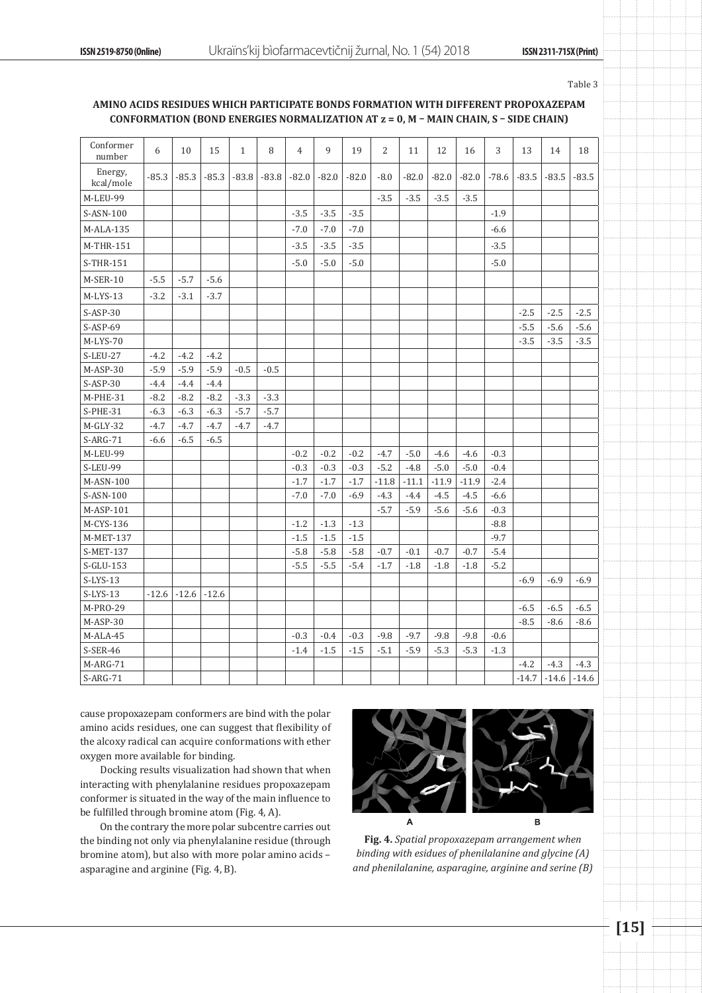Table 3

## **AMINO ACIDS RESIDUES WHICH PARTICIPATE BONDS FORMATION WITH DIFFERENT PROPOXAZEPAM CONFORMATION (BOND ENERGIES NORMALIZATION AT z = 0, M – MAIN CHAIN, S – SIDE CHAIN)**

| Conformer<br>number  | 6       | 10      | 15      | $\mathbf{1}$ | 8       | $\overline{4}$ | 9       | 19      | 2       | 11      | 12      | 16      | 3       | 13      | 14      | 18      |
|----------------------|---------|---------|---------|--------------|---------|----------------|---------|---------|---------|---------|---------|---------|---------|---------|---------|---------|
| Energy,<br>kcal/mole | $-85.3$ | $-85.3$ | $-85.3$ | $-83.8$      | $-83.8$ | $-82.0$        | $-82.0$ | $-82.0$ | $-8.0$  | $-82.0$ | $-82.0$ | $-82.0$ | $-78.6$ | $-83.5$ | $-83.5$ | $-83.5$ |
| M-LEU-99             |         |         |         |              |         |                |         |         | $-3.5$  | $-3.5$  | $-3.5$  | $-3.5$  |         |         |         |         |
| S-ASN-100            |         |         |         |              |         | $-3.5$         | $-3.5$  | $-3.5$  |         |         |         |         | $-1.9$  |         |         |         |
| $M-ALA-135$          |         |         |         |              |         | $-7.0$         | $-7.0$  | $-7.0$  |         |         |         |         | $-6.6$  |         |         |         |
| M-THR-151            |         |         |         |              |         | $-3.5$         | $-3.5$  | $-3.5$  |         |         |         |         | $-3.5$  |         |         |         |
| S-THR-151            |         |         |         |              |         | $-5.0$         | $-5.0$  | $-5.0$  |         |         |         |         | $-5.0$  |         |         |         |
| M-SER-10             | $-5.5$  | $-5.7$  | $-5.6$  |              |         |                |         |         |         |         |         |         |         |         |         |         |
| $M-LYS-13$           | $-3.2$  | $-3.1$  | $-3.7$  |              |         |                |         |         |         |         |         |         |         |         |         |         |
| $S-ASP-30$           |         |         |         |              |         |                |         |         |         |         |         |         |         | $-2.5$  | $-2.5$  | $-2.5$  |
| $S-ASP-69$           |         |         |         |              |         |                |         |         |         |         |         |         |         | $-5.5$  | $-5.6$  | $-5.6$  |
| M-LYS-70             |         |         |         |              |         |                |         |         |         |         |         |         |         | $-3.5$  | $-3.5$  | $-3.5$  |
| <b>S-LEU-27</b>      | $-4.2$  | $-4.2$  | $-4.2$  |              |         |                |         |         |         |         |         |         |         |         |         |         |
| M-ASP-30             | $-5.9$  | $-5.9$  | $-5.9$  | $-0.5$       | $-0.5$  |                |         |         |         |         |         |         |         |         |         |         |
| $S-ASP-30$           | $-4.4$  | $-4.4$  | $-4.4$  |              |         |                |         |         |         |         |         |         |         |         |         |         |
| M-PHE-31             | $-8.2$  | $-8.2$  | $-8.2$  | $-3.3$       | $-3.3$  |                |         |         |         |         |         |         |         |         |         |         |
| $S-PHE-31$           | $-6.3$  | $-6.3$  | $-6.3$  | $-5.7$       | $-5.7$  |                |         |         |         |         |         |         |         |         |         |         |
| $M-GLY-32$           | $-4.7$  | $-4.7$  | $-4.7$  | $-4.7$       | $-4.7$  |                |         |         |         |         |         |         |         |         |         |         |
| $S-ARG-71$           | $-6.6$  | $-6.5$  | $-6.5$  |              |         |                |         |         |         |         |         |         |         |         |         |         |
| M-LEU-99             |         |         |         |              |         | $-0.2$         | $-0.2$  | $-0.2$  | $-4.7$  | $-5.0$  | $-4.6$  | $-4.6$  | $-0.3$  |         |         |         |
| S-LEU-99             |         |         |         |              |         | $-0.3$         | $-0.3$  | $-0.3$  | $-5.2$  | $-4.8$  | $-5.0$  | $-5.0$  | $-0.4$  |         |         |         |
| M-ASN-100            |         |         |         |              |         | $-1.7$         | $-1.7$  | $-1.7$  | $-11.8$ | $-11.1$ | $-11.9$ | $-11.9$ | $-2.4$  |         |         |         |
| S-ASN-100            |         |         |         |              |         | $-7.0$         | $-7.0$  | $-6.9$  | $-4.3$  | $-4.4$  | $-4.5$  | $-4.5$  | $-6.6$  |         |         |         |
| M-ASP-101            |         |         |         |              |         |                |         |         | $-5.7$  | $-5.9$  | $-5.6$  | $-5.6$  | $-0.3$  |         |         |         |
| M-CYS-136            |         |         |         |              |         | $-1.2$         | $-1.3$  | $-1.3$  |         |         |         |         | $-8.8$  |         |         |         |
| M-MET-137            |         |         |         |              |         | $-1.5$         | $-1.5$  | $-1.5$  |         |         |         |         | $-9.7$  |         |         |         |
| S-MET-137            |         |         |         |              |         | $-5.8$         | $-5.8$  | $-5.8$  | $-0.7$  | $-0.1$  | $-0.7$  | $-0.7$  | $-5.4$  |         |         |         |
| S-GLU-153            |         |         |         |              |         | $-5.5$         | $-5.5$  | $-5.4$  | $-1.7$  | $-1.8$  | $-1.8$  | $-1.8$  | $-5.2$  |         |         |         |
| $S-LYS-13$           |         |         |         |              |         |                |         |         |         |         |         |         |         | $-6.9$  | $-6.9$  | $-6.9$  |
| $S-LYS-13$           | $-12.6$ | $-12.6$ | $-12.6$ |              |         |                |         |         |         |         |         |         |         |         |         |         |
| M-PRO-29             |         |         |         |              |         |                |         |         |         |         |         |         |         | $-6.5$  | $-6.5$  | $-6.5$  |
| M-ASP-30             |         |         |         |              |         |                |         |         |         |         |         |         |         | $-8.5$  | $-8.6$  | $-8.6$  |
| M-ALA-45             |         |         |         |              |         | $-0.3$         | $-0.4$  | $-0.3$  | $-9.8$  | $-9.7$  | $-9.8$  | $-9.8$  | $-0.6$  |         |         |         |
| S-SER-46             |         |         |         |              |         | $-1.4$         | $-1.5$  | $-1.5$  | $-5.1$  | $-5.9$  | $-5.3$  | $-5.3$  | $-1.3$  |         |         |         |
| M-ARG-71             |         |         |         |              |         |                |         |         |         |         |         |         |         | $-4.2$  | $-4.3$  | $-4.3$  |
| $S-ARG-71$           |         |         |         |              |         |                |         |         |         |         |         |         |         | $-14.7$ | $-14.6$ | $-14.6$ |

cause propoxazepam conformers are bind with the polar amino acids residues, one can suggest that flexibility of the alcoxy radical can acquire conformations with ether oxygen more available for binding.

Docking results visualization had shown that when interacting with phenylalanine residues propoxazepam conformer is situated in the way of the main influence to be fulfilled through bromine atom (Fig. 4, A).

On the contrary the more polar subcentre carries out the binding not only via phenylalanine residue (through bromine atom), but also with more polar amino acids – asparagine and arginine (Fig. 4, B).



**Fig. 4.** *Spatial propoxazepam arrangement when binding with esidues of phenilalanine and glycine (A) and phenilalanine, asparagine, arginine and serine (B)*

**[15]**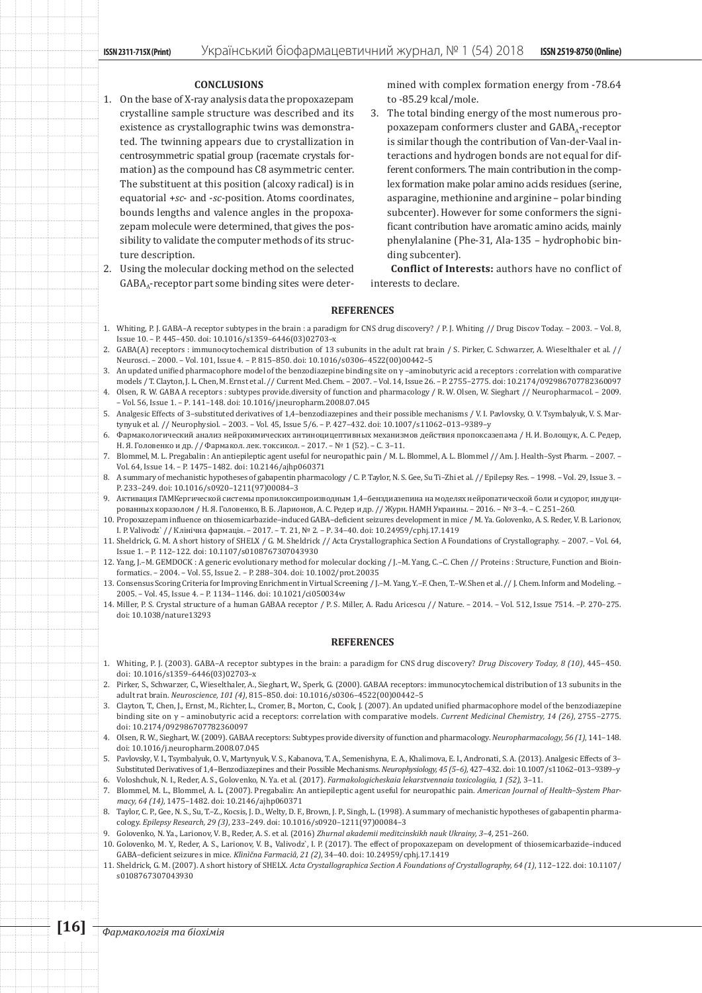## **CONCLUSIONS**

- 1. On the base of X-ray analysis data the propoxazepam crystalline sample structure was described and its existence as crystallographic twins was demonstrated. The twinning appears due to crystallization in centrosymmetric spatial group (racemate crystals formation) as the compound has C8 asymmetric center. The substituent at this position (alcoxy radical) is in equatorial +*sc*- and -*sc*-position. Atoms coordinates, bounds lengths and valence angles in the propoxazepam molecule were determined, that gives the possibility to validate the computer methods of its structure description.
- 2. Using the molecular docking method on the selected  $GABA<sub>a</sub>$ -receptor part some binding sites were deter-

mined with complex formation energy from -78.64 to -85.29 kcal/mole.

3. The total binding energy of the most numerous propoxazepam conformers cluster and  $GABA_A$ -receptor is similar though the contribution of Van-der-Vaal interactions and hydrogen bonds are not equal for different conformers. The main contribution in the complex formation make polar amino acids residues (serine, asparagine, methionine and arginine – polar binding subcenter). However for some conformers the significant contribution have aromatic amino acids, mainly phenylalanine (Phe-31, Ala-135 – hydrophobic binding subcenter).

**Conflict of Interests:** authors have no conflict of interests to declare.

### **REFERENCES**

- 1. Whiting, P. J. GABA–A receptor subtypes in the brain : a paradigm for CNS drug discovery? / P. J. Whiting // Drug Discov Today. 2003. Vol. 8, Issue 10. – P. 445–450. doi: 10.1016/s1359–6446(03)02703–x
- 2. GABA(A) receptors : immunocytochemical distribution of 13 subunits in the adult rat brain / S. Pirker, C. Schwarzer, A. Wieselthaler et al. // Neurosci. – 2000. – Vol. 101, Issue 4. – P. 815–850. doi: 10.1016/s0306–4522(00)00442–5
- 3. An updated unified pharmacophore model of the benzodiazepine binding site on γ –aminobutyric acid a receptors : correlation with comparative models / T. Clayton, J. L. Chen, M. Ernst et al. // Current Med. Chem. – 2007. – Vol. 14, Issue 26. – P. 2755–2775. doi: 10.2174/092986707782360097
- 4. Olsen, R. W. GABA A receptors : subtypes provide.diversity of function and pharmacology / R. W. Olsen, W. Sieghart // Neuropharmacol. 2009. – Vol. 56, Issue 1. – Р. 141–148. doi: 10.1016/j.neuropharm.2008.07.045
- 5. Analgesic Effects of 3–substituted derivatives of 1,4–benzodiazepines and their possible mechanisms / V. I. Pavlovsky, O. V. Tsymbalyuk, V. S. Martynyuk et al. // Neurophysiol. – 2003. – Vol. 45, Issue 5/6. – P. 427–432. doi: 10.1007/s11062–013–9389–y
- 6. Фармакологический анализ нейрохимических антиноцицептивных механизмов действия пропоксазепама / Н. И. Волощук, А. С. Редер, Н. Я. Головенко и др. // Фармакол. лек. токсикол. – 2017. – № 1 (52). – С. 3–11.
- 7. Blommel, M. L. Pregabalin : An antiepileptic agent useful for neuropathic pain / M. L. Blommel, A. L. Blommel // Am. J. Health–Syst Pharm. 2007. Vol. 64, Issue 14. – P. 1475–1482. doi: 10.2146/ajhp060371
- 8. A summary of mechanistic hypotheses of gabapentin pharmacology / C. P. Taylor, N. S. Gee, Su Ti-Zhi et al. // Epilepsy Res. 1998. Vol. 29, Issue 3. -P. 233–249. doi: 10.1016/s0920–1211(97)00084–3
- 9. Активация ГАМКергической системы пропилоксипроизводным 1,4–бенздиазепина на моделях нейропатической боли и судорог, индуцированных коразолом / Н. Я. Головенко, В. Б. Ларионов, А. С. Редер и др. // Журн. НАМН Украины. – 2016. – № 3–4. – С. 251–260.
- 10. Propoxazepam influence on thiosemicarbazide–induced GABA–deficient seizures development in mice / M. Ya. Golovenko, A. S. Reder, V. B. Larionov, I. P. Valivodz` // Клінічна фармація. – 2017. – Т. 21, № 2. – Р. 34–40. doi: 10.24959/cphj.17.1419
- 11. Sheldrick, G. M. A short history of SHELX / G. M. Sheldrick // Acta Crystallographica Section A Foundations of Crystallography. 2007. Vol. 64, Issue 1. – P. 112–122. doi: 10.1107/s0108767307043930
- 12. Yang, J.–M. GEMDOCK : A generic evolutionary method for molecular docking / J.–M. Yang, C.–C. Chen // Proteins : Structure, Function and Bioinformatics. – 2004. – Vol. 55, Issue 2. – P. 288–304. doi: 10.1002/prot.20035
- 13. Consensus Scoring Criteria for Improving Enrichment in Virtual Screening / J.–M. Yang, Y.–F. Chen, T.–W. Shen et al. // J. Chem. Inform and Modeling. 2005. – Vol. 45, Issue 4. – P. 1134–1146. doi: 10.1021/ci050034w
- 14. Miller, P. S. Crystal structure of a human GABAA receptor / P. S. Miller, A. Radu Aricescu // Nature. 2014. Vol. 512, Issue 7514. –P. 270–275. doi: 10.1038/nature13293

### **REFERENCES**

- 1. Whiting, P. J. (2003). GABA–A receptor subtypes in the brain: a paradigm for CNS drug discovery? *Drug Discovery Today, 8 (10)*, 445–450. doi: 10.1016/s1359–6446(03)02703–x
- 2. Pirker, S., Schwarzer, C., Wieselthaler, A., Sieghart, W., Sperk, G. (2000). GABAA receptors: immunocytochemical distribution of 13 subunits in the adult rat brain. *Neuroscience, 101 (4)*, 815–850. doi: 10.1016/s0306–4522(00)00442–5
- 3. Clayton, T., Chen, J., Ernst, M., Richter, L., Cromer, B., Morton, C., Cook, J. (2007). An updated unified pharmacophore model of the benzodiazepine binding site on γ – aminobutyric acid a receptors: correlation with comparative models. *Current Medicinal Chemistry, 14 (26)*, 2755–2775. doi: 10.2174/092986707782360097
- 4. Olsen, R. W., Sieghart, W. (2009). GABAA receptors: Subtypes provide diversity of function and pharmacology. *Neuropharmacology, 56 (1)*, 141–148. doi: 10.1016/j.neuropharm.2008.07.045
- 5. Pavlovsky, V. I., Tsymbalyuk, O. V., Martynyuk, V. S., Kabanova, T. A., Semenishyna, E. A., Khalimova, E. I., Andronati, S. A. (2013). Analgesic Effects of 3– Substituted Derivatives of 1,4–Benzodiazepines and their Possible Mechanisms. *Neurophysiology, 45 (5–6)*, 427–432. doi: 10.1007/s11062–013–9389–y 6. Voloshchuk, N. I., Reder, A. S., Golovenko, N. Ya. et al. (2017). *Farmakologicheskaia lekarstvennaia toxicologiia, 1 (52)*, 3–11.
- 7. Blommel, M. L., Blommel, A. L. (2007). Pregabalin: An antiepileptic agent useful for neuropathic pain. *American Journal of Health–System Pharmacy, 64 (14),* 1475–1482. doi: 10.2146/ajhp060371
- 8. Taylor, C. P., Gee, N. S., Su, T.–Z., Kocsis, J. D., Welty, D. F., Brown, J. P., Singh, L. (1998). A summary of mechanistic hypotheses of gabapentin pharmacology. *Epilepsy Research, 29 (3)*, 233–249. doi: 10.1016/s0920–1211(97)00084–3
- 9. Golovenko, N. Ya., Larionov, V. B., Reder, A. S. et al. (2016) *Zhurnal akademii meditcinskikh nauk Ukrainy, 3–4*, 251–260.
- 10. Golovenko, M. Y., Reder, A. S., Larionov, V. B., Valivodz`, I. P. (2017). The effect of propoxazepam on development of thiosemicarbazide–induced GABA–deficient seizures in mice. *Klìnìčna Farmacìâ, 21 (2)*, 34–40. doi: 10.24959/cphj.17.1419
- 11. Sheldrick, G. M. (2007). A short history of SHELX. *Acta Crystallographica Section A Foundations of Crystallography, 64 (1)*, 112–122. doi: 10.1107/ s0108767307043930

**[16]** *Фармакологiя та бiохiмiя*